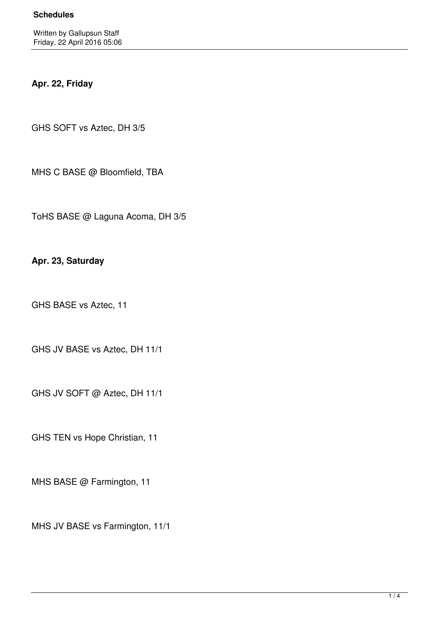## **Apr. 22, Friday**

GHS SOFT vs Aztec, DH 3/5

MHS C BASE @ Bloomfield, TBA

ToHS BASE @ Laguna Acoma, DH 3/5

**Apr. 23, Saturday**

GHS BASE vs Aztec, 11

GHS JV BASE vs Aztec, DH 11/1

GHS JV SOFT @ Aztec, DH 11/1

GHS TEN vs Hope Christian, 11

MHS BASE @ Farmington, 11

MHS JV BASE vs Farmington, 11/1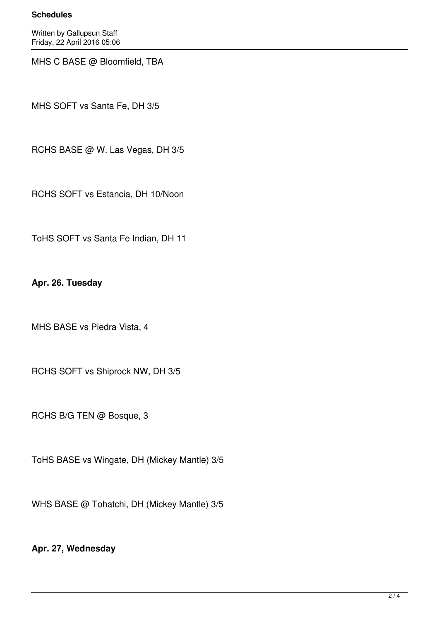### **Schedules**

Written by Gallupsun Staff Friday, 22 April 2016 05:06

MHS C BASE @ Bloomfield, TBA

MHS SOFT vs Santa Fe, DH 3/5

RCHS BASE @ W. Las Vegas, DH 3/5

RCHS SOFT vs Estancia, DH 10/Noon

ToHS SOFT vs Santa Fe Indian, DH 11

**Apr. 26. Tuesday**

MHS BASE vs Piedra Vista, 4

RCHS SOFT vs Shiprock NW, DH 3/5

RCHS B/G TEN @ Bosque, 3

ToHS BASE vs Wingate, DH (Mickey Mantle) 3/5

WHS BASE @ Tohatchi, DH (Mickey Mantle) 3/5

# **Apr. 27, Wednesday**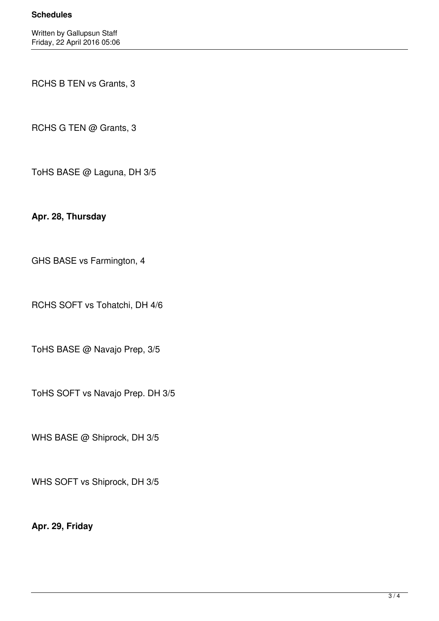### **Schedules**

RCHS B TEN vs Grants, 3

RCHS G TEN @ Grants, 3

ToHS BASE @ Laguna, DH 3/5

**Apr. 28, Thursday**

GHS BASE vs Farmington, 4

RCHS SOFT vs Tohatchi, DH 4/6

ToHS BASE @ Navajo Prep, 3/5

ToHS SOFT vs Navajo Prep. DH 3/5

WHS BASE @ Shiprock, DH 3/5

WHS SOFT vs Shiprock, DH 3/5

**Apr. 29, Friday**